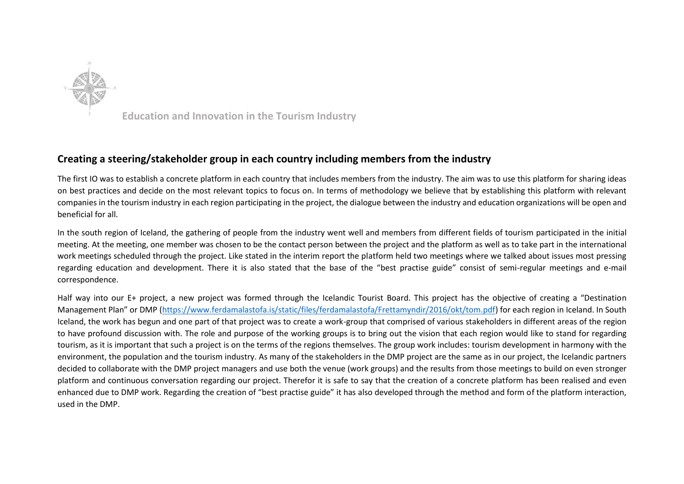

**Education and Innovation in the Tourism Industry** 

## **Creating a steering/stakeholder group in each country including members from the industry**

The first IO was to establish a concrete platform in each country that includes members from the industry. The aim was to use this platform for sharing ideas on best practices and decide on the most relevant topics to focus on. In terms of methodology we believe that by establishing this platform with relevant companies in the tourism industry in each region participating in the project, the dialogue between the industry and education organizations will be open and beneficial for all.

In the south region of Iceland, the gathering of people from the industry went well and members from different fields of tourism participated in the initial meeting. At the meeting, one member was chosen to be the contact person between the project and the platform as well as to take part in the international work meetings scheduled through the project. Like stated in the interim report the platform held two meetings where we talked about issues most pressing regarding education and development. There it is also stated that the base of the "best practise guide" consist of semi-regular meetings and e-mail correspondence.

Half way into our E+ project, a new project was formed through the Icelandic Tourist Board. This project has the objective of creating a "Destination Management Plan" or DMP ([https://www.ferdamalastofa.is/static/files/ferdamalastofa/Frettamyndir/2016/okt/tom.pdf\)](https://www.ferdamalastofa.is/static/files/ferdamalastofa/Frettamyndir/2016/okt/tom.pdf) for each region in Iceland. In South Iceland, the work has begun and one part of that project was to create a work-group that comprised of various stakeholders in different areas of the region to have profound discussion with. The role and purpose of the working groups is to bring out the vision that each region would like to stand for regarding tourism, as it is important that such a project is on the terms of the regions themselves. The group work includes: tourism development in harmony with the environment, the population and the tourism industry. As many of the stakeholders in the DMP project are the same as in our project, the Icelandic partners decided to collaborate with the DMP project managers and use both the venue (work groups) and the results from those meetings to build on even stronger platform and continuous conversation regarding our project. Therefor it is safe to say that the creation of a concrete platform has been realised and even enhanced due to DMP work. Regarding the creation of "best practise guide" it has also developed through the method and form of the platform interaction, used in the DMP.